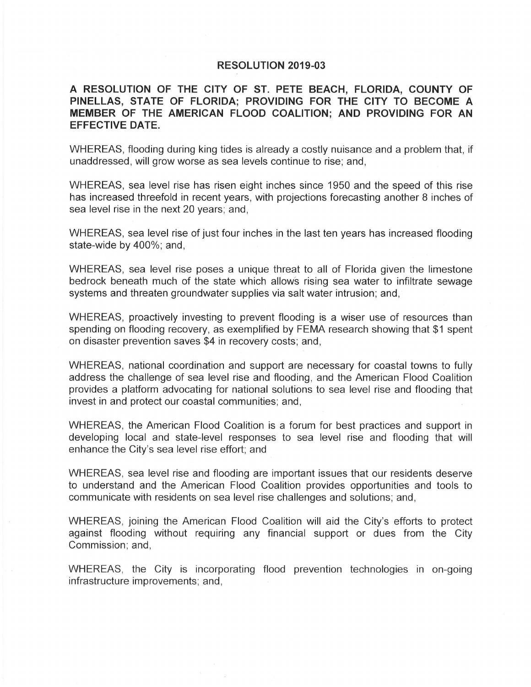## **RESOLUTION 2019-03**

**A RESOLUTION OF THE CITY OF ST. PETE BEACH, FLORIDA, COUNTY OF**  PINELLAS, STATE OF FLORIDA; PROVIDING FOR THE CITY TO BECOME A **MEMBER OF THE AMERICAN FLOOD COALITION; AND PROVIDING FOR AN EFFECTIVE DATE.** 

WHEREAS, flooding during king tides is already a costly nuisance and a problem that, if unaddressed, will grow worse as sea levels continue to rise; and,

WHEREAS, sea level rise has risen eight inches since 1950 and the speed of this rise has increased threefold in recent years, with projections forecasting another 8 inches of sea level rise in the next 20 years; and,

WHEREAS, sea level rise of just four inches in the last ten years has increased flooding state-wide by 400%; and,

WHEREAS, sea level rise poses a unique threat to all of Florida given the limestone bedrock beneath much of the state which allows rising sea water to infiltrate sewage systems and threaten groundwater supplies via salt water intrusion; and,

WHEREAS, proactively investing to prevent flooding is a wiser use of resources than spending on flooding recovery, as exemplified by FEMA research showing that \$1 spent on disaster prevention saves \$4 in recovery costs; and,

WHEREAS, national coordination and support are necessary for coastal towns to fully address the challenge of sea level rise and flooding, and the American Flood Coalition provides a platform advocating for national solutions to sea level rise and flooding that invest in and protect our coastal communities; and,

WHEREAS, the American Flood Coalition is a forum for best practices and support in developing local and state-level responses to sea level rise and flooding that will enhance the City's sea level rise effort; and

WHEREAS, sea level rise and flooding are important issues that our residents deserve to understand and the American Flood Coalition provides opportunities and tools to communicate with residents on sea level rise challenges and solutions; and,

WHEREAS, joining the American Flood Coalition will aid the City's efforts to protect against flooding without requiring any financial support or dues from the City Commission; and,

WHEREAS, the City is incorporating flood prevention technologies in on-going infrastructure improvements; and,